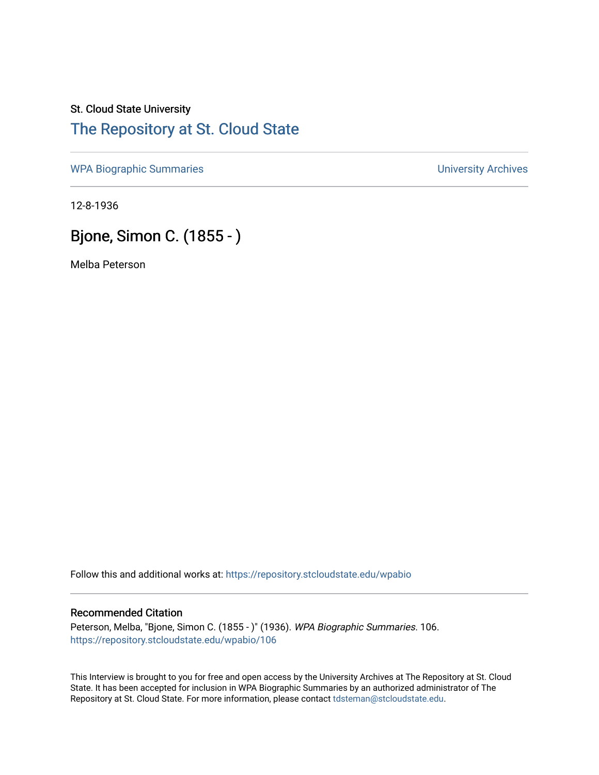## St. Cloud State University [The Repository at St. Cloud State](https://repository.stcloudstate.edu/)

[WPA Biographic Summaries](https://repository.stcloudstate.edu/wpabio) **WPA Biographic Summaries University Archives** 

12-8-1936

# Bjone, Simon C. (1855 - )

Melba Peterson

Follow this and additional works at: [https://repository.stcloudstate.edu/wpabio](https://repository.stcloudstate.edu/wpabio?utm_source=repository.stcloudstate.edu%2Fwpabio%2F106&utm_medium=PDF&utm_campaign=PDFCoverPages) 

#### Recommended Citation

Peterson, Melba, "Bjone, Simon C. (1855 - )" (1936). WPA Biographic Summaries. 106. [https://repository.stcloudstate.edu/wpabio/106](https://repository.stcloudstate.edu/wpabio/106?utm_source=repository.stcloudstate.edu%2Fwpabio%2F106&utm_medium=PDF&utm_campaign=PDFCoverPages) 

This Interview is brought to you for free and open access by the University Archives at The Repository at St. Cloud State. It has been accepted for inclusion in WPA Biographic Summaries by an authorized administrator of The Repository at St. Cloud State. For more information, please contact [tdsteman@stcloudstate.edu.](mailto:tdsteman@stcloudstate.edu)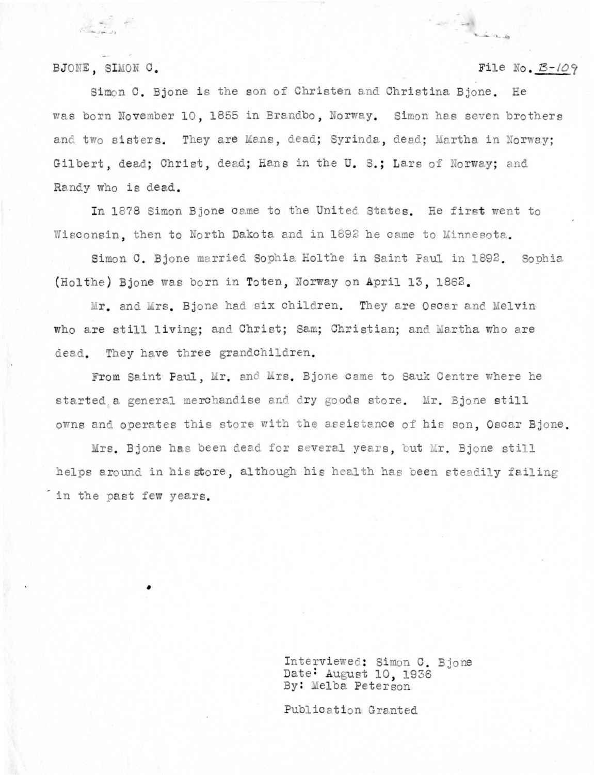### BJONE, SIMON C.

建糖 书

### File No.  $\mathcal{B}$ -109

Simon C. Bione is the son of Christen and Christina Bione. He was born November 10, 1855 in Brandbo, Norway. Simon has seven brothers and two sisters. They are Mans, dead; Syrinda, dead; Martha in Norway: Gilbert, dead; Christ, dead; Hans in the U. S.; Lars of Norway; and Randy who is dead.

In 1878 Simon Bione came to the United States. He first went to Wisconsin, then to North Dakota and in 1892 he came to Minnesota.

Simon C. Bjone married Sophia Holthe in Saint Paul in 1892. Sophia (Holthe) Bione was born in Toten, Norway on April 13, 1862.

Mr. and Mrs. Bjone had six children. They are Oscar and Melvin who are still living; and Christ; Sam; Christian; and Martha who are dead. They have three grandchildren.

From Saint Paul, Mr. and Mrs. Bjone came to Sauk Centre where he started a general merchandise and dry goods store. Mr. Bjone still owns and operates this store with the assistance of his son. Oscar Bjone.

Mrs. Bjone has been dead for several years, but Mr. Bjone still helps around in his store, although his health has been steadily failing in the past few years.

> Interviewed: Simon C. Bjone Date: August 10, 1936 By: Melba Peterson

Publication Granted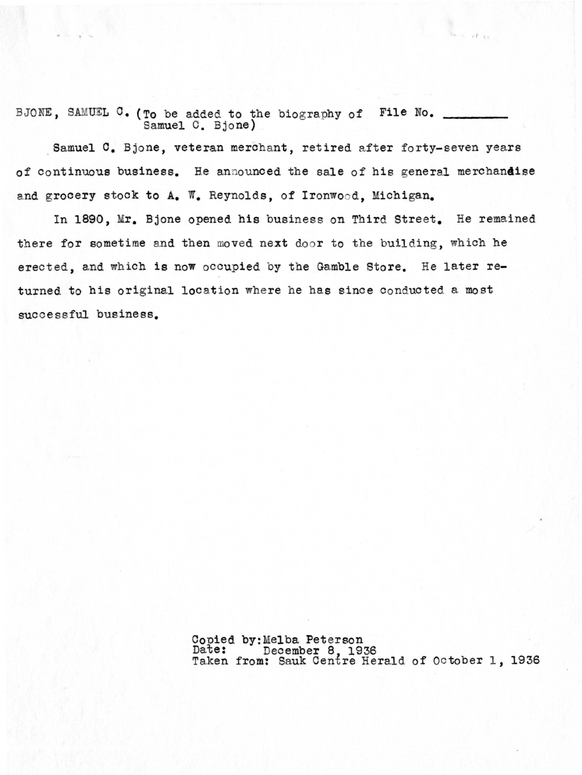BJONE, SAMUEL C. (To be added to the biography of File No. Samuel C. Bjone)

Samuel C. Bjone, veteran merchant, retired after forty-seven years of continuous business. He announced the sale of his general merchandise and grocery stock to A. W. Reynolds, of Ironwood, Michigan.

**'t** 

In 1890, Mr. Bjone opened his business on Third Street. He remained there for sometime and then moved next door to the building, which he erected, and which is now occupied by the Gamble Store. He later returned to his original location where he has since conducted a most successful business.

> Conied by:Melba Peterson Date: December 8, 1936<br>Taken from: Sauk Centre Herald of October 1, 1936